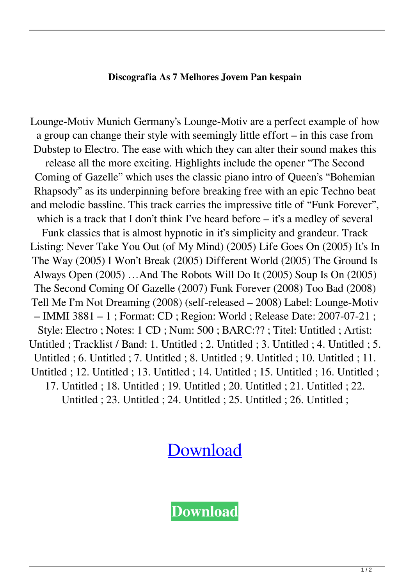## **Discografia As 7 Melhores Jovem Pan kespain**

Lounge-Motiv Munich Germany's Lounge-Motiv are a perfect example of how a group can change their style with seemingly little effort – in this case from Dubstep to Electro. The ease with which they can alter their sound makes this release all the more exciting. Highlights include the opener "The Second Coming of Gazelle" which uses the classic piano intro of Queen's "Bohemian Rhapsody" as its underpinning before breaking free with an epic Techno beat and melodic bassline. This track carries the impressive title of "Funk Forever", which is a track that I don't think I've heard before – it's a medley of several Funk classics that is almost hypnotic in it's simplicity and grandeur. Track Listing: Never Take You Out (of My Mind) (2005) Life Goes On (2005) It's In The Way (2005) I Won't Break (2005) Different World (2005) The Ground Is Always Open (2005) …And The Robots Will Do It (2005) Soup Is On (2005) The Second Coming Of Gazelle (2007) Funk Forever (2008) Too Bad (2008) Tell Me I'm Not Dreaming (2008) (self-released – 2008) Label: Lounge-Motiv – IMMI 3881 – 1 ; Format: CD ; Region: World ; Release Date: 2007-07-21 ; Style: Electro ; Notes: 1 CD ; Num: 500 ; BARC:?? ; Titel: Untitled ; Artist: Untitled ; Tracklist / Band: 1. Untitled ; 2. Untitled ; 3. Untitled ; 4. Untitled ; 5. Untitled ; 6. Untitled ; 7. Untitled ; 8. Untitled ; 9. Untitled ; 10. Untitled ; 11. Untitled ; 12. Untitled ; 13. Untitled ; 14. Untitled ; 15. Untitled ; 16. Untitled ; 17. Untitled ; 18. Untitled ; 19. Untitled ; 20. Untitled ; 21. Untitled ; 22. Untitled ; 23. Untitled ; 24. Untitled ; 25. Untitled ; 26. Untitled ;

## [Download](http://evacdir.com/ZG93bmxvYWR8cFM2WVhneGZId3hOalV5TkRZek1EVXdmSHd5TlRjMGZId29UU2tnY21WaFpDMWliRzluSUZ0R1lYTjBJRWRGVGww/bedeviled?cherishing=confiserie/curriculae&largr=RGlzY29ncmFmaWEgQXMgNyBNZWxob3JlcyBKb3ZlbSBQYW4RGl&olmsted=)

**[Download](http://evacdir.com/ZG93bmxvYWR8cFM2WVhneGZId3hOalV5TkRZek1EVXdmSHd5TlRjMGZId29UU2tnY21WaFpDMWliRzluSUZ0R1lYTjBJRWRGVGww/bedeviled?cherishing=confiserie/curriculae&largr=RGlzY29ncmFmaWEgQXMgNyBNZWxob3JlcyBKb3ZlbSBQYW4RGl&olmsted=)**